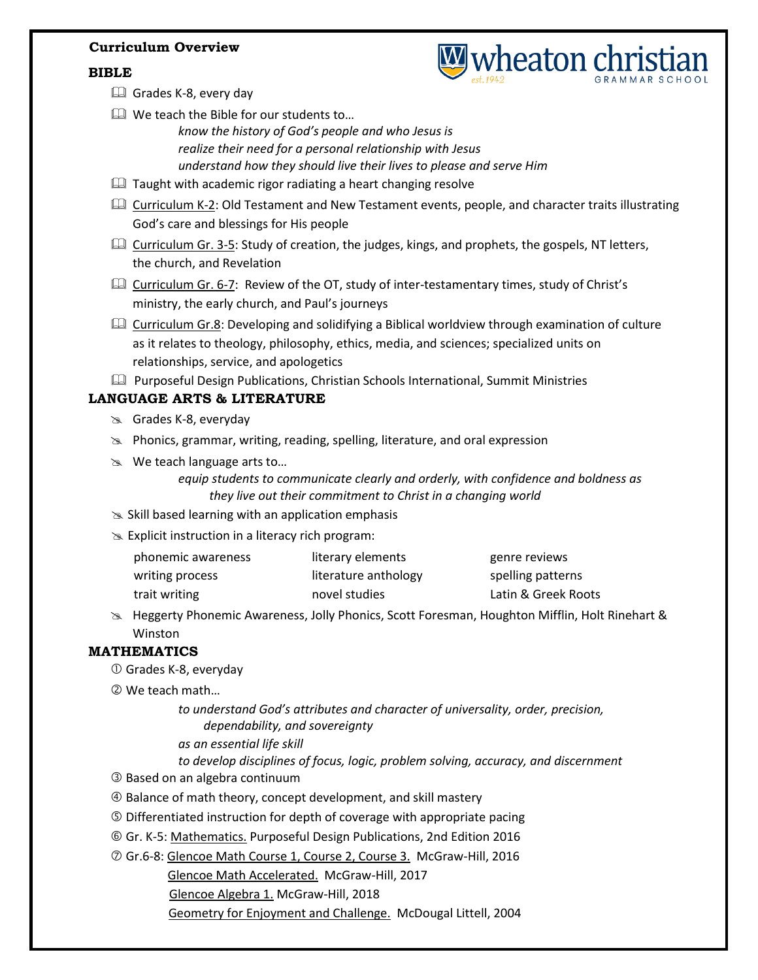### **Curriculum Overview**

### **BIBLE**



- Grades K-8, every day
- $\square$  We teach the Bible for our students to...
	- *know the history of God's people and who Jesus is realize their need for a personal relationship with Jesus understand how they should live their lives to please and serve Him*
- $\Box$  Taught with academic rigor radiating a heart changing resolve
- **Curriculum K-2: Old Testament and New Testament events, people, and character traits illustrating** God's care and blessings for His people
- **Curriculum Gr. 3-5:** Study of creation, the judges, kings, and prophets, the gospels, NT letters, the church, and Revelation
- Curriculum Gr. 6-7: Review of the OT, study of inter-testamentary times, study of Christ's ministry, the early church, and Paul's journeys
- **Curriculum Gr.8:** Developing and solidifying a Biblical worldview through examination of culture as it relates to theology, philosophy, ethics, media, and sciences; specialized units on relationships, service, and apologetics
- Purposeful Design Publications, Christian Schools International, Summit Ministries

# **LANGUAGE ARTS & LITERATURE**

- Grades K-8, everyday
- $\gg$  Phonics, grammar, writing, reading, spelling, literature, and oral expression
- We teach language arts to…
	- *equip students to communicate clearly and orderly, with confidence and boldness as they live out their commitment to Christ in a changing world*
- $\geq$  Skill based learning with an application emphasis
- $\gg$  Explicit instruction in a literacy rich program:

| phonemic awareness | literary elements    | genre reviews       |
|--------------------|----------------------|---------------------|
| writing process    | literature anthology | spelling patterns   |
| trait writing      | novel studies        | Latin & Greek Roots |

 Heggerty Phonemic Awareness, Jolly Phonics, Scott Foresman, Houghton Mifflin, Holt Rinehart & Winston

# **MATHEMATICS**

- Grades K-8, everyday
- We teach math…
	- *to understand God's attributes and character of universality, order, precision, dependability, and sovereignty*
	- *as an essential life skill*
	- *to develop disciplines of focus, logic, problem solving, accuracy, and discernment*
- Based on an algebra continuum
- Balance of math theory, concept development, and skill mastery
- Differentiated instruction for depth of coverage with appropriate pacing
- Gr. K-5: Mathematics. Purposeful Design Publications, 2nd Edition 2016
- Gr.6-8: Glencoe Math Course 1, Course 2, Course 3. McGraw-Hill, 2016
	- Glencoe Math Accelerated. McGraw-Hill, 2017
		- Glencoe Algebra 1. McGraw-Hill, 2018
		- Geometry for Enjoyment and Challenge. McDougal Littell, 2004